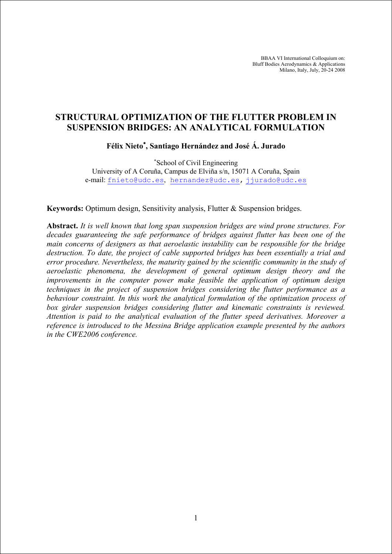BBAA VI International Colloquium on: Bluff Bodies Aerodynamics & Applications Milano, Italy, July, 20-24 2008

# **STRUCTURAL OPTIMIZATION OF THE FLUTTER PROBLEM IN SUSPENSION BRIDGES: AN ANALYTICAL FORMULATION**

**Félix Nieto**<sup>∗</sup> **, Santiago Hernández and José Á. Jurado** 

∗ School of Civil Engineering University of A Coruña, Campus de Elviña s/n, 15071 A Coruña, Spain e-mail: fnieto@udc.es, hernandez@udc.es, jjurado@udc.es

**Keywords:** Optimum design, Sensitivity analysis, Flutter & Suspension bridges.

**Abstract.** *It is well known that long span suspension bridges are wind prone structures. For decades guaranteeing the safe performance of bridges against flutter has been one of the main concerns of designers as that aeroelastic instability can be responsible for the bridge destruction. To date, the project of cable supported bridges has been essentially a trial and error procedure. Nevertheless, the maturity gained by the scientific community in the study of aeroelastic phenomena, the development of general optimum design theory and the improvements in the computer power make feasible the application of optimum design techniques in the project of suspension bridges considering the flutter performance as a behaviour constraint. In this work the analytical formulation of the optimization process of box girder suspension bridges considering flutter and kinematic constraints is reviewed. Attention is paid to the analytical evaluation of the flutter speed derivatives. Moreover a reference is introduced to the Messina Bridge application example presented by the authors in the CWE2006 conference.*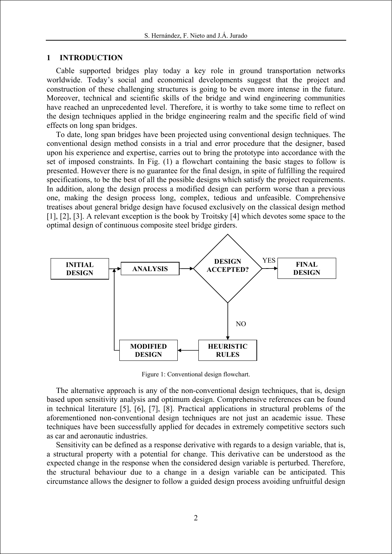# **1 INTRODUCTION**

Cable supported bridges play today a key role in ground transportation networks worldwide. Today's social and economical developments suggest that the project and construction of these challenging structures is going to be even more intense in the future. Moreover, technical and scientific skills of the bridge and wind engineering communities have reached an unprecedented level. Therefore, it is worthy to take some time to reflect on the design techniques applied in the bridge engineering realm and the specific field of wind effects on long span bridges.

To date, long span bridges have been projected using conventional design techniques. The conventional design method consists in a trial and error procedure that the designer, based upon his experience and expertise, carries out to bring the prototype into accordance with the set of imposed constraints. In Fig. (1) a flowchart containing the basic stages to follow is presented. However there is no guarantee for the final design, in spite of fulfilling the required specifications, to be the best of all the possible designs which satisfy the project requirements. In addition, along the design process a modified design can perform worse than a previous one, making the design process long, complex, tedious and unfeasible. Comprehensive treatises about general bridge design have focused exclusively on the classical design method [1], [2], [3]. A relevant exception is the book by Troitsky [4] which devotes some space to the optimal design of continuous composite steel bridge girders.



Figure 1: Conventional design flowchart.

The alternative approach is any of the non-conventional design techniques, that is, design based upon sensitivity analysis and optimum design. Comprehensive references can be found in technical literature [5], [6], [7], [8]. Practical applications in structural problems of the aforementioned non-conventional design techniques are not just an academic issue. These techniques have been successfully applied for decades in extremely competitive sectors such as car and aeronautic industries.

Sensitivity can be defined as a response derivative with regards to a design variable, that is, a structural property with a potential for change. This derivative can be understood as the expected change in the response when the considered design variable is perturbed. Therefore, the structural behaviour due to a change in a design variable can be anticipated. This circumstance allows the designer to follow a guided design process avoiding unfruitful design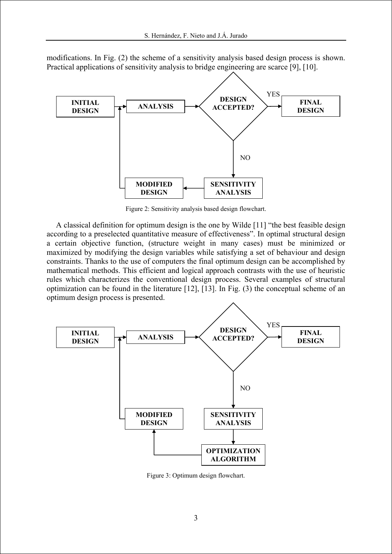

modifications. In Fig. (2) the scheme of a sensitivity analysis based design process is shown. Practical applications of sensitivity analysis to bridge engineering are scarce [9], [10].

Figure 2: Sensitivity analysis based design flowchart.

A classical definition for optimum design is the one by Wilde [11] "the best feasible design according to a preselected quantitative measure of effectiveness". In optimal structural design a certain objective function, (structure weight in many cases) must be minimized or maximized by modifying the design variables while satisfying a set of behaviour and design constraints. Thanks to the use of computers the final optimum design can be accomplished by mathematical methods. This efficient and logical approach contrasts with the use of heuristic rules which characterizes the conventional design process. Several examples of structural optimization can be found in the literature [12], [13]. In Fig. (3) the conceptual scheme of an optimum design process is presented.



Figure 3: Optimum design flowchart.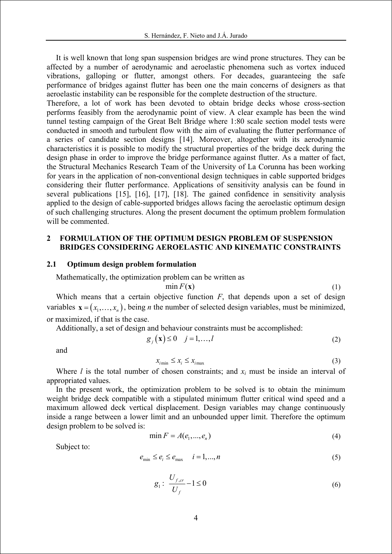It is well known that long span suspension bridges are wind prone structures. They can be affected by a number of aerodynamic and aeroelastic phenomena such as vortex induced vibrations, galloping or flutter, amongst others. For decades, guaranteeing the safe performance of bridges against flutter has been one the main concerns of designers as that aeroelastic instability can be responsible for the complete destruction of the structure.

Therefore, a lot of work has been devoted to obtain bridge decks whose cross-section performs feasibly from the aerodynamic point of view. A clear example has been the wind tunnel testing campaign of the Great Belt Bridge where 1:80 scale section model tests were conducted in smooth and turbulent flow with the aim of evaluating the flutter performance of a series of candidate section designs [14]. Moreover, altogether with its aerodynamic characteristics it is possible to modify the structural properties of the bridge deck during the design phase in order to improve the bridge performance against flutter. As a matter of fact, the Structural Mechanics Research Team of the University of La Corunna has been working for years in the application of non-conventional design techniques in cable supported bridges considering their flutter performance. Applications of sensitivity analysis can be found in several publications [15], [16], [17], [18]. The gained confidence in sensitivity analysis applied to the design of cable-supported bridges allows facing the aeroelastic optimum design of such challenging structures. Along the present document the optimum problem formulation will be commented.

# **2 FORMULATION OF THE OPTIMUM DESIGN PROBLEM OF SUSPENSION BRIDGES CONSIDERING AEROELASTIC AND KINEMATIC CONSTRAINTS**

#### **2.1 Optimum design problem formulation**

Mathematically, the optimization problem can be written as

$$
\min F(\mathbf{x})\tag{1}
$$

$$
(1)
$$

Which means that a certain objective function *F*, that depends upon a set of design variables  $\mathbf{x} = (x_1, \dots, x_n)$ , being *n* the number of selected design variables, must be minimized, or maximized, if that is the case.

Additionally, a set of design and behaviour constraints must be accomplished:

$$
g_j(\mathbf{x}) \le 0 \quad j = 1, \dots, l \tag{2}
$$

and

$$
x_{i_{\min}} \le x_i \le x_{i_{\max}} \tag{3}
$$

Where  $l$  is the total number of chosen constraints; and  $x_i$  must be inside an interval of appropriated values.

In the present work, the optimization problem to be solved is to obtain the minimum weight bridge deck compatible with a stipulated minimum flutter critical wind speed and a maximum allowed deck vertical displacement. Design variables may change continuously inside a range between a lower limit and an unbounded upper limit. Therefore the optimum design problem to be solved is:

$$
\min F = A(e_1, \dots, e_n) \tag{4}
$$

Subject to:

$$
e_{\min} \le e_i \le e_{\max} \quad i = 1, \dots, n \tag{5}
$$

$$
g_1: \frac{U_{f,cr}}{U_f} - 1 \le 0 \tag{6}
$$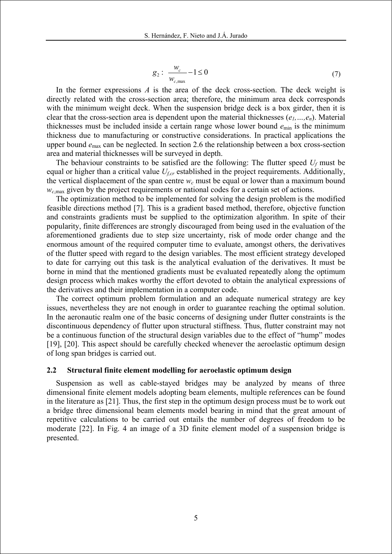$$
g_2: \frac{w_c}{w_{c,\text{max}}} - 1 \le 0 \tag{7}
$$

In the former expressions *A* is the area of the deck cross-section. The deck weight is directly related with the cross-section area; therefore, the minimum area deck corresponds with the minimum weight deck. When the suspension bridge deck is a box girder, then it is clear that the cross-section area is dependent upon the material thicknesses (*e1,…,en*). Material thicknesses must be included inside a certain range whose lower bound  $e_{min}$  is the minimum thickness due to manufacturing or constructive considerations. In practical applications the upper bound *e*max can be neglected. In section 2.6 the relationship between a box cross-section area and material thicknesses will be surveyed in depth.

The behaviour constraints to be satisfied are the following: The flutter speed *Uf* must be equal or higher than a critical value *Uf,cr* established in the project requirements. Additionally, the vertical displacement of the span centre  $w_c$  must be equal or lower than a maximum bound  $w_{c,max}$  given by the project requirements or national codes for a certain set of actions.

The optimization method to be implemented for solving the design problem is the modified feasible directions method [7]. This is a gradient based method, therefore, objective function and constraints gradients must be supplied to the optimization algorithm. In spite of their popularity, finite differences are strongly discouraged from being used in the evaluation of the aforementioned gradients due to step size uncertainty, risk of mode order change and the enormous amount of the required computer time to evaluate, amongst others, the derivatives of the flutter speed with regard to the design variables. The most efficient strategy developed to date for carrying out this task is the analytical evaluation of the derivatives. It must be borne in mind that the mentioned gradients must be evaluated repeatedly along the optimum design process which makes worthy the effort devoted to obtain the analytical expressions of the derivatives and their implementation in a computer code.

The correct optimum problem formulation and an adequate numerical strategy are key issues, nevertheless they are not enough in order to guarantee reaching the optimal solution. In the aeronautic realm one of the basic concerns of designing under flutter constraints is the discontinuous dependency of flutter upon structural stiffness. Thus, flutter constraint may not be a continuous function of the structural design variables due to the effect of "hump" modes [19], [20]. This aspect should be carefully checked whenever the aeroelastic optimum design of long span bridges is carried out.

## **2.2 Structural finite element modelling for aeroelastic optimum design**

Suspension as well as cable-stayed bridges may be analyzed by means of three dimensional finite element models adopting beam elements, multiple references can be found in the literature as [21]. Thus, the first step in the optimum design process must be to work out a bridge three dimensional beam elements model bearing in mind that the great amount of repetitive calculations to be carried out entails the number of degrees of freedom to be moderate [22]. In Fig. 4 an image of a 3D finite element model of a suspension bridge is presented.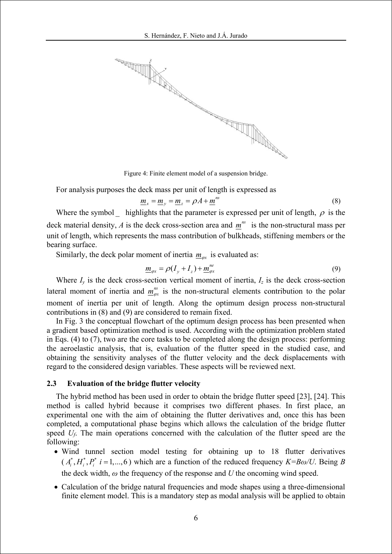

Figure 4: Finite element model of a suspension bridge.

For analysis purposes the deck mass per unit of length is expressed as

$$
\underline{m}_x = \underline{m}_y = \underline{m}_z = \rho A + \underline{m}^{ns} \tag{8}
$$

Where the symbol highlights that the parameter is expressed per unit of length,  $\rho$  is the deck material density,  $\vec{A}$  is the deck cross-section area and  $\vec{m}$ <sup>ns</sup> is the non-structural mass per unit of length, which represents the mass contribution of bulkheads, stiffening members or the bearing surface.

Similarly, the deck polar moment of inertia  $m_{\varphi}$  is evaluated as:

$$
\underline{m}_{\varphi x} = \rho(I_y + I_z) + \underline{m}_{\varphi x}^{ne} \tag{9}
$$

Where  $I_y$  is the deck cross-section vertical moment of inertia,  $I_z$  is the deck cross-section lateral moment of inertia and  $m_{\infty}^{ns}$  is the non-structural elements contribution to the polar moment of inertia per unit of length. Along the optimum design process non-structural contributions in (8) and (9) are considered to remain fixed.

In Fig. 3 the conceptual flowchart of the optimum design process has been presented when a gradient based optimization method is used. According with the optimization problem stated in Eqs. (4) to (7), two are the core tasks to be completed along the design process: performing the aeroelastic analysis, that is, evaluation of the flutter speed in the studied case, and obtaining the sensitivity analyses of the flutter velocity and the deck displacements with regard to the considered design variables. These aspects will be reviewed next.

## **2.3 Evaluation of the bridge flutter velocity**

The hybrid method has been used in order to obtain the bridge flutter speed [23], [24]. This method is called hybrid because it comprises two different phases. In first place, an experimental one with the aim of obtaining the flutter derivatives and, once this has been completed, a computational phase begins which allows the calculation of the bridge flutter speed *U<sub>f</sub>*. The main operations concerned with the calculation of the flutter speed are the following:

- Wind tunnel section model testing for obtaining up to 18 flutter derivatives  $(A_i^*, H_i^*, P_i^*$  *i* = 1,...,6) which are a function of the reduced frequency *K*=*Bω*/*U*. Being *B* the deck width, *ω* the frequency of the response and *U* the oncoming wind speed.
- Calculation of the bridge natural frequencies and mode shapes using a three-dimensional finite element model. This is a mandatory step as modal analysis will be applied to obtain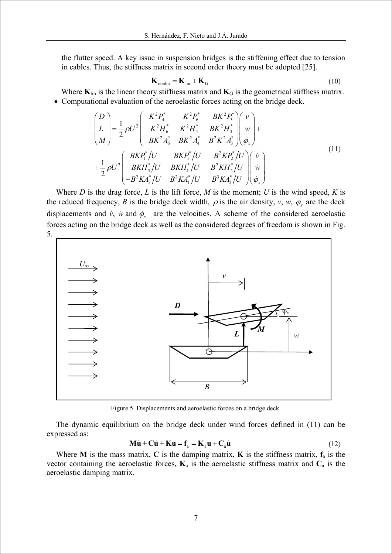the flutter speed. A key issue in suspension bridges is the stiffening effect due to tension in cables. Thus, the stiffness matrix in second order theory must be adopted [25].

$$
\mathbf{K}_{\text{nonlin}} = \mathbf{K}_{\text{lin}} + \mathbf{K}_{\text{G}} \tag{10}
$$

Where  $K_{lin}$  is the linear theory stiffness matrix and  $K_G$  is the geometrical stiffness matrix. • Computational evaluation of the aeroelastic forces acting on the bridge deck.

$$
\begin{pmatrix}\nD \\
L \\
M\n\end{pmatrix} = \frac{1}{2} \rho U^2 \begin{pmatrix}\nK^2 P_4^* & -K^2 P_6^* & -B K^2 P_3^* \\
-K^2 H_6^* & K^2 H_4^* & B K^2 H_3^* \\
-B K^2 A_6^* & B K^2 A_4^* & B^2 K^2 A_3^* \end{pmatrix} \begin{pmatrix}\nv \\
w \\
\varphi_x\n\end{pmatrix} + \frac{1}{2} \rho U^2 \begin{pmatrix}\nB K P_1^* / U & -B K P_5^* / U & -B^2 K P_2^* / U \\
-B K H_5^* / U & B K H_1^* / U & B^2 K H_2^* / U \\
-B^2 K A_5^* / U & B^2 K A_1^* / U & B^3 K A_2^* / U\n\end{pmatrix} \begin{pmatrix}\n\dot{v} \\
\dot{w} \\
\dot{\varphi}_x\n\end{pmatrix}
$$
\n(11)

Where *D* is the drag force, *L* is the lift force, *M* is the moment; *U* is the wind speed, *K* is the reduced frequency, *B* is the bridge deck width,  $\rho$  is the air density, *v*, *w*,  $\varphi_x$  are the deck displacements and  $\dot{v}$ ,  $\dot{w}$  and  $\dot{\phi}_x$  are the velocities. A scheme of the considered aeroelastic forces acting on the bridge deck as well as the considered degrees of freedom is shown in Fig. 5.



Figure 5. Displacements and aeroelastic forces on a bridge deck.

The dynamic equilibrium on the bridge deck under wind forces defined in (11) can be expressed as:

$$
\mathbf{M}\ddot{\mathbf{u}} + \mathbf{C}\dot{\mathbf{u}} + \mathbf{K}\mathbf{u} = \mathbf{f}_a = \mathbf{K}_a \mathbf{u} + \mathbf{C}_a \dot{\mathbf{u}} \tag{12}
$$

Where **M** is the mass matrix, **C** is the damping matrix, **K** is the stiffness matrix,  $f_a$  is the vector containing the aeroelastic forces,  $\mathbf{K}_a$  is the aeroelastic stiffness matrix and  $\mathbf{C}_a$  is the aeroelastic damping matrix.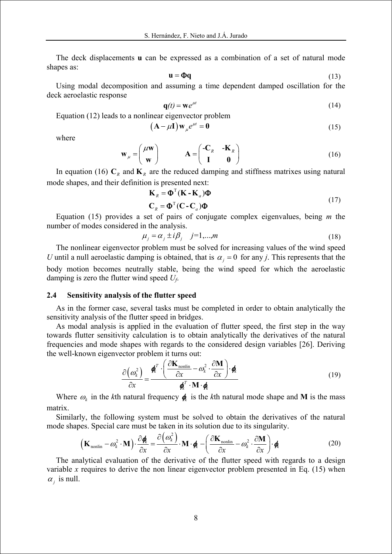The deck displacements **u** can be expressed as a combination of a set of natural mode shapes as:

$$
\mathbf{u} = \mathbf{\Phi}\mathbf{q} \tag{13}
$$

Using modal decomposition and assuming a time dependent damped oscillation for the deck aeroelastic response

$$
\mathbf{q}(t) = \mathbf{w}e^{\mu t} \tag{14}
$$

Equation (12) leads to a nonlinear eigenvector problem

$$
(\mathbf{A} - \mu \mathbf{I}) \mathbf{w}_{\mu} e^{\mu t} = \mathbf{0}
$$
 (15)

where

$$
\mathbf{w}_{\mu} = \begin{pmatrix} \mu \mathbf{w} \\ \mathbf{w} \end{pmatrix} \qquad \mathbf{A} = \begin{pmatrix} -\mathbf{C}_{R} & -\mathbf{K}_{R} \\ \mathbf{I} & \mathbf{0} \end{pmatrix}
$$
(16)

In equation (16)  $C_R$  and  $K_R$  are the reduced damping and stiffness matrixes using natural mode shapes, and their definition is presented next:

$$
\mathbf{K}_R = \mathbf{\Phi}^{\mathrm{T}} (\mathbf{K} - \mathbf{K}_a) \mathbf{\Phi}
$$
  

$$
\mathbf{C}_R = \mathbf{\Phi}^{\mathrm{T}} (\mathbf{C} - \mathbf{C}_a) \mathbf{\Phi}
$$
 (17)

Equation (15) provides a set of pairs of conjugate complex eigenvalues, being *m* the number of modes considered in the analysis.

$$
\mu_j = \alpha_j \pm i\beta_j \quad j=1,...,m \tag{18}
$$

The nonlinear eigenvector problem must be solved for increasing values of the wind speed *U* until a null aeroelastic damping is obtained, that is  $\alpha_i = 0$  for any *j*. This represents that the body motion becomes neutrally stable, being the wind speed for which the aeroelastic damping is zero the flutter wind speed *Uf*.

#### **2.4 Sensitivity analysis of the flutter speed**

As in the former case, several tasks must be completed in order to obtain analytically the sensitivity analysis of the flutter speed in bridges.

As modal analysis is applied in the evaluation of flutter speed, the first step in the way towards flutter sensitivity calculation is to obtain analytically the derivatives of the natural frequencies and mode shapes with regards to the considered design variables [26]. Deriving the well-known eigenvector problem it turns out:

$$
\frac{\partial (\omega_k^2)}{\partial x} = \frac{\boldsymbol{\phi}_k^T \cdot \left( \frac{\partial \mathbf{K}_{\text{nonlin}}}{\partial x} - \omega_k^2 \cdot \frac{\partial \mathbf{M}}{\partial x} \right) \cdot \boldsymbol{\phi}_k}{\boldsymbol{\phi}_k^T \cdot \mathbf{M} \cdot \boldsymbol{\phi}_k}
$$
(19)

Where  $\omega_k$  in the *k*th natural frequency  $\phi_k$  is the *k*th natural mode shape and **M** is the mass matrix.

Similarly, the following system must be solved to obtain the derivatives of the natural mode shapes. Special care must be taken in its solution due to its singularity.

$$
\left(\mathbf{K}_{\text{nonlin}} - \omega_k^2 \cdot \mathbf{M}\right) \cdot \frac{\partial \phi_k}{\partial x} = \frac{\partial (\omega_k^2)}{\partial x} \cdot \mathbf{M} \cdot \phi_k - \left(\frac{\partial \mathbf{K}_{\text{nonlin}}}{\partial x} - \omega_k^2 \cdot \frac{\partial \mathbf{M}}{\partial x}\right) \cdot \phi_k
$$
(20)

The analytical evaluation of the derivative of the flutter speed with regards to a design variable *x* requires to derive the non linear eigenvector problem presented in Eq.  $(15)$  when  $\alpha_i$  is null.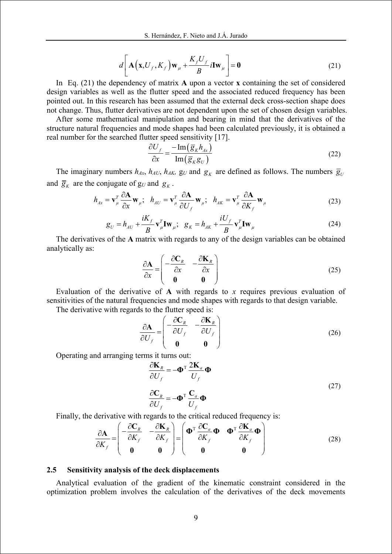$$
d\left[\mathbf{A}\left(\mathbf{x},\mathbf{U}_{f},\mathbf{K}_{f}\right)\mathbf{w}_{\mu}+\frac{\mathbf{K}_{f}\mathbf{U}_{f}}{B}i\mathbf{I}\mathbf{w}_{\mu}\right]=\mathbf{0}
$$
\n(21)

In Eq. (21) the dependency of matrix **A** upon a vector **x** containing the set of considered design variables as well as the flutter speed and the associated reduced frequency has been pointed out. In this research has been assumed that the external deck cross-section shape does not change. Thus, flutter derivatives are not dependent upon the set of chosen design variables.

After some mathematical manipulation and bearing in mind that the derivatives of the structure natural frequencies and mode shapes had been calculated previously, it is obtained a real number for the searched flutter speed sensitivity [17].

$$
\frac{\partial U_f}{\partial x} = \frac{-\operatorname{Im}\left(\overline{g}_k h_{4x}\right)}{\operatorname{Im}\left(\overline{g}_k g_U\right)}\tag{22}
$$

The imaginary numbers  $h_{Ax}$ ,  $h_{AU}$ ,  $h_{AK}$ ,  $g_U$  and  $g_K$  are defined as follows. The numbers  $\overline{g}_U$ and  $\overline{g}_k$  are the conjugate of  $g_U$  and  $g_k$ .

$$
h_{Ax} = \mathbf{v}_{\mu}^T \frac{\partial \mathbf{A}}{\partial x} \mathbf{w}_{\mu}; \quad h_{AU} = \mathbf{v}_{\mu}^T \frac{\partial \mathbf{A}}{\partial U_f} \mathbf{w}_{\mu}; \quad h_{AK} = \mathbf{v}_{\mu}^T \frac{\partial \mathbf{A}}{\partial K_f} \mathbf{w}_{\mu}
$$
(23)

$$
g_U = h_{AU} + \frac{iK_f}{B} \mathbf{v}_{\mu}^T \mathbf{I} \mathbf{w}_{\mu}; \quad g_K = h_{AK} + \frac{iU_f}{B} \mathbf{v}_{\mu}^T \mathbf{I} \mathbf{w}_{\mu}
$$
(24)

The derivatives of the **A** matrix with regards to any of the design variables can be obtained analytically as:

$$
\frac{\partial \mathbf{A}}{\partial x} = \begin{pmatrix} -\frac{\partial \mathbf{C}_R}{\partial x} & -\frac{\partial \mathbf{K}_R}{\partial x} \\ \mathbf{0} & \mathbf{0} \end{pmatrix}
$$
(25)

Evaluation of the derivative of **A** with regards to *x* requires previous evaluation of sensitivities of the natural frequencies and mode shapes with regards to that design variable.

The derivative with regards to the flutter speed is:

$$
\frac{\partial \mathbf{A}}{\partial U_f} = \begin{pmatrix} -\frac{\partial \mathbf{C}_R}{\partial U_f} & -\frac{\partial \mathbf{K}_R}{\partial U_f} \\ \mathbf{0} & \mathbf{0} \end{pmatrix}
$$
(26)

Operating and arranging terms it turns out:

$$
\frac{\partial \mathbf{K}_R}{\partial U_f} = -\mathbf{\Phi}^{\mathrm{T}} \frac{2\mathbf{K}_a}{U_f} \mathbf{\Phi}
$$
\n
$$
\frac{\partial \mathbf{C}_R}{\partial U_f} = -\mathbf{\Phi}^{\mathrm{T}} \frac{\mathbf{C}_a}{U_f} \mathbf{\Phi}
$$
\n(27)

Finally, the derivative with regards to the critical reduced frequency is:

$$
\frac{\partial \mathbf{A}}{\partial K_f} = \begin{pmatrix} -\frac{\partial \mathbf{C}_R}{\partial K_f} & -\frac{\partial \mathbf{K}_R}{\partial K_f} \\ \mathbf{0} & \mathbf{0} \end{pmatrix} = \begin{pmatrix} \mathbf{\Phi}^T & \frac{\partial \mathbf{C}_a}{\partial K_f} \mathbf{\Phi} & \mathbf{\Phi}^T & \frac{\partial \mathbf{K}_a}{\partial K_f} \mathbf{\Phi} \\ \mathbf{0} & \mathbf{0} & \mathbf{0} \end{pmatrix}
$$
(28)

#### **2.5 Sensitivity analysis of the deck displacements**

Analytical evaluation of the gradient of the kinematic constraint considered in the optimization problem involves the calculation of the derivatives of the deck movements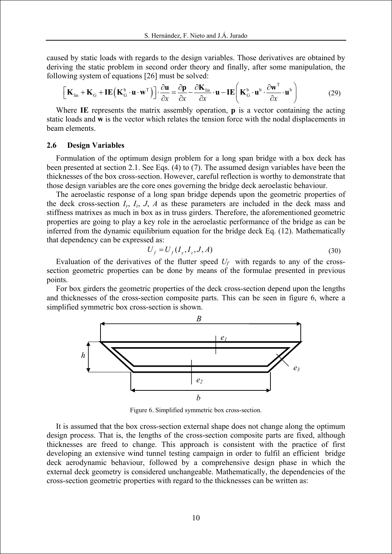caused by static loads with regards to the design variables. Those derivatives are obtained by deriving the static problem in second order theory and finally, after some manipulation, the following system of equations [26] must be solved:

$$
\left[\mathbf{K}_{\text{lin}} + \mathbf{K}_{\text{G}} + \mathbf{I}\mathbf{E}\left(\mathbf{K}_{\text{G}}^{b} \cdot \mathbf{u} \cdot \mathbf{w}^{\text{T}}\right)\right] \cdot \frac{\partial \mathbf{u}}{\partial x} = \frac{\partial \mathbf{p}}{\partial x} - \frac{\partial \mathbf{K}_{\text{lin}}}{\partial x} \cdot \mathbf{u} - \mathbf{I}\mathbf{E}\left(\mathbf{K}_{\text{G}}^{b} \cdot \mathbf{u}^{b} \cdot \frac{\partial \mathbf{w}^{\text{T}}}{\partial x} \cdot \mathbf{u}^{b}\right) \tag{29}
$$

Where **IE** represents the matrix assembly operation, **p** is a vector containing the acting static loads and **w** is the vector which relates the tension force with the nodal displacements in beam elements.

#### **2.6 Design Variables**

Formulation of the optimum design problem for a long span bridge with a box deck has been presented at section 2.1. See Eqs. (4) to (7). The assumed design variables have been the thicknesses of the box cross-section. However, careful reflection is worthy to demonstrate that those design variables are the core ones governing the bridge deck aeroelastic behaviour.

The aeroelastic response of a long span bridge depends upon the geometric properties of the deck cross-section  $I_v$ ,  $I_z$ ,  $J$ ,  $A$  as these parameters are included in the deck mass and stiffness matrixes as much in box as in truss girders. Therefore, the aforementioned geometric properties are going to play a key role in the aeroelastic performance of the bridge as can be inferred from the dynamic equilibrium equation for the bridge deck Eq. (12). Mathematically that dependency can be expressed as:

$$
U_f = U_f(I_y, I_z, J, A)
$$
\n(30)

Evaluation of the derivatives of the flutter speed  $U_f$  with regards to any of the crosssection geometric properties can be done by means of the formulae presented in previous points.

For box girders the geometric properties of the deck cross-section depend upon the lengths and thicknesses of the cross-section composite parts. This can be seen in figure 6, where a simplified symmetric box cross-section is shown.



Figure 6. Simplified symmetric box cross-section.

It is assumed that the box cross-section external shape does not change along the optimum design process. That is, the lengths of the cross-section composite parts are fixed, although thicknesses are freed to change. This approach is consistent with the practice of first developing an extensive wind tunnel testing campaign in order to fulfil an efficient bridge deck aerodynamic behaviour, followed by a comprehensive design phase in which the external deck geometry is considered unchangeable. Mathematically, the dependencies of the cross-section geometric properties with regard to the thicknesses can be written as: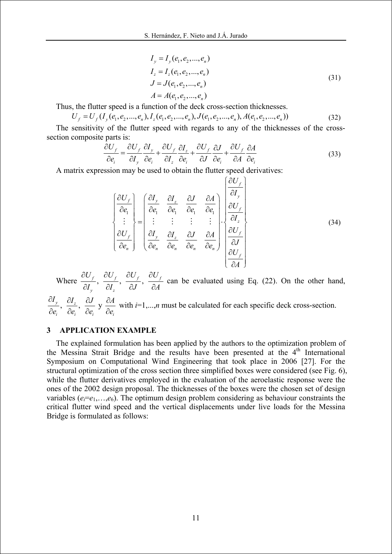$$
I_{y} = I_{y}(e_{1}, e_{2},..., e_{n})
$$
  
\n
$$
I_{z} = I_{z}(e_{1}, e_{2},..., e_{n})
$$
  
\n
$$
J = J(e_{1}, e_{2},..., e_{n})
$$
  
\n
$$
A = A(e_{1}, e_{2},..., e_{n})
$$
\n(31)

Thus, the flutter speed is a function of the deck cross-section thicknesses.

$$
U_f = U_f(I_y(e_1, e_2, \dots, e_n), I_z(e_1, e_2, \dots, e_n), J(e_1, e_2, \dots, e_n), A(e_1, e_2, \dots, e_n))
$$
\n(32)

The sensitivity of the flutter speed with regards to any of the thicknesses of the crosssection composite parts is:

$$
\frac{\partial U_f}{\partial e_i} = \frac{\partial U_f}{\partial I_y} \frac{\partial I_y}{\partial e_i} + \frac{\partial U_f}{\partial I_z} \frac{\partial I_z}{\partial e_i} + \frac{\partial U_f}{\partial J} \frac{\partial J}{\partial e_i} + \frac{\partial U_f}{\partial A} \frac{\partial A}{\partial e_i}
$$
(33)

 $(x, y)$ 

A matrix expression may be used to obtain the flutter speed derivatives:

$$
\begin{bmatrix}\n\frac{\partial U_f}{\partial e_1} \\
\vdots \\
\frac{\partial U_f}{\partial e_n}\n\end{bmatrix} = \begin{bmatrix}\n\frac{\partial I_y}{\partial e_1} & \frac{\partial I_z}{\partial e_1} & \frac{\partial J}{\partial e_1} & \frac{\partial A}{\partial e_1} \\
\vdots & \vdots & \vdots & \vdots \\
\frac{\partial I_y}{\partial e_n} & \frac{\partial I_z}{\partial e_n} & \frac{\partial J}{\partial e_n} & \frac{\partial A}{\partial e_n}\n\end{bmatrix} \begin{bmatrix}\n\frac{\partial U_f}{\partial I_y} \\
\frac{\partial U_f}{\partial I_z} \\
\frac{\partial U_f}{\partial J} \\
\frac{\partial U_f}{\partial A}\n\end{bmatrix}
$$
\n(34)

Where  $\frac{\partial \mathcal{O}_f}{\partial \mathcal{I}}, \frac{\partial \mathcal{O}_f}{\partial \mathcal{I}}, \frac{\partial \mathcal{O}_f}{\partial \mathcal{I}}, \frac{\partial \mathcal{O}_f}{\partial \mathcal{I}}$  $\mathbf{u}_z$  $U_{\epsilon}$   $\partial U_{\epsilon}$   $\partial U_{\epsilon}$   $\partial U$  $I_{\scriptscriptstyle v}$   $\,$   $\partial I_{\scriptscriptstyle z}$   $\,$   $\,$   $\partial J$   $\,$   $\,$   $\partial A$  $\partial U_\epsilon$   $\partial U_\epsilon$   $\partial U_\epsilon$   $\partial$  $\frac{\partial^2 f}{\partial I_x}, \frac{\partial^2 f}{\partial I_y}, \frac{\partial^2 f}{\partial A}$  can be evaluated using Eq. (22). On the other hand,

 $\frac{y}{2}$ ,  $\frac{U_1}{2}$ ,  $\frac{U_2}{2}$  y  $\iota_i$   $\partial \epsilon_i$   $\partial \epsilon_i$   $\partial \epsilon_i$  $I_{\nu}$   $\partial I_{\tau}$   $\partial J$   $\partial A$  $e_i$ <sup>2</sup>  $\partial e_i$ <sup>2</sup>  $\partial e_i$ <sup>2</sup>  $\partial e$  $\partial I_{v}$  ∂*I*, ∂*J* ∂  $\partial e_i$ ' ∂ $e_i$ ' ∂ $e_i$  ' ∂ with  $i=1,...,n$  must be calculated for each specific deck cross-section.

# **3 APPLICATION EXAMPLE**

The explained formulation has been applied by the authors to the optimization problem of the Messina Strait Bridge and the results have been presented at the 4<sup>th</sup> International Symposium on Computational Wind Engineering that took place in 2006 [27]. For the structural optimization of the cross section three simplified boxes were considered (see Fig. 6), while the flutter derivatives employed in the evaluation of the aeroelastic response were the ones of the 2002 design proposal. The thicknesses of the boxes were the chosen set of design variables ( $e_i = e_1, \ldots, e_6$ ). The optimum design problem considering as behaviour constraints the critical flutter wind speed and the vertical displacements under live loads for the Messina Bridge is formulated as follows: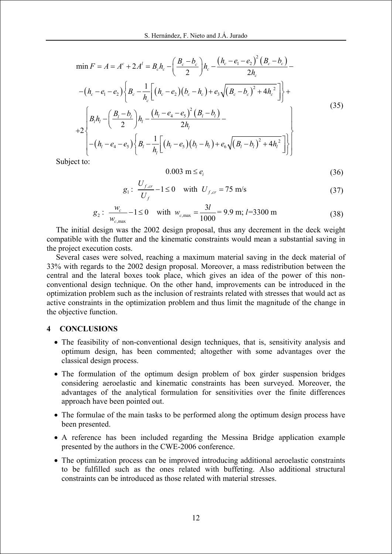$$
\min F = A = A^{c} + 2A^{l} = B_{c}h_{c} - \left(\frac{B_{c} - b_{c}}{2}\right)h_{c} - \frac{(h_{c} - e_{1} - e_{2})^{2}(B_{c} - b_{c})}{2h_{c}} - (h_{c} - e_{1} - e_{2})\left\{B_{c} - \frac{1}{h_{c}}\left[(h_{c} - e_{2})(b_{c} - h_{c}) + e_{3}\sqrt{(B_{c} - b_{c})^{2} + 4h_{c}^{2}}\right]\right\} +
$$
\n
$$
+ 2\left\{\frac{B_{l}h_{l} - \left(\frac{B_{l} - b_{l}}{2}\right)h_{l} - \frac{(h_{l} - e_{4} - e_{5})^{2}(B_{l} - b_{l})}{2h_{l}} - \frac{(h_{l} - e_{4} - e_{5})^{2}(B_{l} - b_{l})}{2h_{l}}\right\} + (35)
$$
\nthat (1)

Subject to:

$$
0.003 \text{ m} \le e_i \tag{36}
$$

$$
g_1: \frac{U_{f,cr}}{U_f} - 1 \le 0 \quad \text{with} \ \ U_{f,cr} = 75 \text{ m/s}
$$
 (37)

$$
g_2: \frac{w_c}{w_{c,\text{max}}} - 1 \le 0 \quad \text{with} \quad w_{c,\text{max}} = \frac{3l}{1000} = 9.9 \text{ m}; \ l = 3300 \text{ m}
$$
 (38)

The initial design was the 2002 design proposal, thus any decrement in the deck weight compatible with the flutter and the kinematic constraints would mean a substantial saving in the project execution costs.

Several cases were solved, reaching a maximum material saving in the deck material of 33% with regards to the 2002 design proposal. Moreover, a mass redistribution between the central and the lateral boxes took place, which gives an idea of the power of this nonconventional design technique. On the other hand, improvements can be introduced in the optimization problem such as the inclusion of restraints related with stresses that would act as active constraints in the optimization problem and thus limit the magnitude of the change in the objective function.

## **4 CONCLUSIONS**

- The feasibility of non-conventional design techniques, that is, sensitivity analysis and optimum design, has been commented; altogether with some advantages over the classical design process.
- The formulation of the optimum design problem of box girder suspension bridges considering aeroelastic and kinematic constraints has been surveyed. Moreover, the advantages of the analytical formulation for sensitivities over the finite differences approach have been pointed out.
- The formulae of the main tasks to be performed along the optimum design process have been presented.
- A reference has been included regarding the Messina Bridge application example presented by the authors in the CWE-2006 conference.
- The optimization process can be improved introducing additional aeroelastic constraints to be fulfilled such as the ones related with buffeting. Also additional structural constraints can be introduced as those related with material stresses.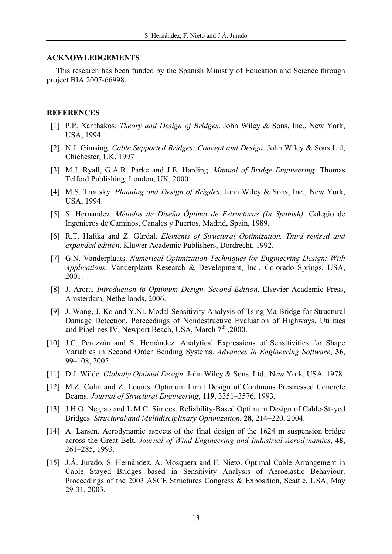#### **ACKNOWLEDGEMENTS**

This research has been funded by the Spanish Ministry of Education and Science through project BIA 2007-66998.

## **REFERENCES**

- [1] P.P. Xanthakos. *Theory and Design of Bridges*. John Wiley & Sons, Inc., New York, USA, 1994.
- [2] N.J. Gimsing. *Cable Supported Bridges: Concept and Design*. John Wiley & Sons Ltd, Chichester, UK, 1997
- [3] M.J. Ryall, G.A.R. Parke and J.E. Harding. *Manual of Bridge Engineering*. Thomas Telford Publishing, London, UK, 2000
- [4] M.S. Troitsky. *Planning and Design of Brigdes*. John Wiley & Sons, Inc., New York, USA, 1994.
- [5] S. Hernández. *Métodos de Diseño Óptimo de Estructuras (In Spanish)*. Colegio de Ingenieros de Caminos, Canales y Puertos, Madrid, Spain, 1989.
- [6] R.T. Haftka and Z. Gürdal. *Elements of Structural Optimization. Third revised and expanded edition*. Kluwer Academic Publishers, Dordrecht, 1992.
- [7] G.N. Vanderplaats. *Numerical Optimization Techniques for Engineering Design: With Applications*. Vanderplaats Research & Development, Inc., Colorado Springs, USA, 2001.
- [8] J. Arora. *Introduction to Optimum Design. Second Edition*. Elsevier Academic Press, Amsterdam, Netherlands, 2006.
- [9] J. Wang, J. Ko and Y.Ni. Modal Sensitivity Analysis of Tsing Ma Bridge for Structural Damage Detection. Porceedings of Nondestructive Evaluation of Highways, Utilities and Pipelines IV, Newport Beach, USA, March 7<sup>th</sup> ,2000.
- [10] J.C. Perezzán and S. Hernández. Analytical Expressions of Sensitivities for Shape Variables in Second Order Bending Systems. *Advances in Engineering Software*, **36**, 99–108, 2005.
- [11] D.J. Wilde. *Globally Optimal Design*. John Wiley & Sons, Ltd., New York, USA, 1978.
- [12] M.Z. Cohn and Z. Lounis. Optimum Limit Design of Continous Prestressed Concrete Beams. *Journal of Structural Engineering*, **119**, 3351–3576, 1993.
- [13] J.H.O. Negrao and L.M.C. Simoes. Reliability-Based Optimum Design of Cable-Stayed Bridges. *Structural and Multidisciplinary Optimization*, **28**, 214–220, 2004.
- [14] A. Larsen. Aerodynamic aspects of the final design of the 1624 m suspension bridge across the Great Belt. *Journal of Wind Engineering and Industrial Aerodynamics*, **48**, 261–285, 1993.
- [15] J.A. Jurado, S. Hernández, A. Mosquera and F. Nieto. Optimal Cable Arrangement in Cable Stayed Bridges based in Sensitivity Analysis of Aeroelastic Behaviour. Proceedings of the 2003 ASCE Structures Congress & Exposition, Seattle, USA, May 29-31, 2003.